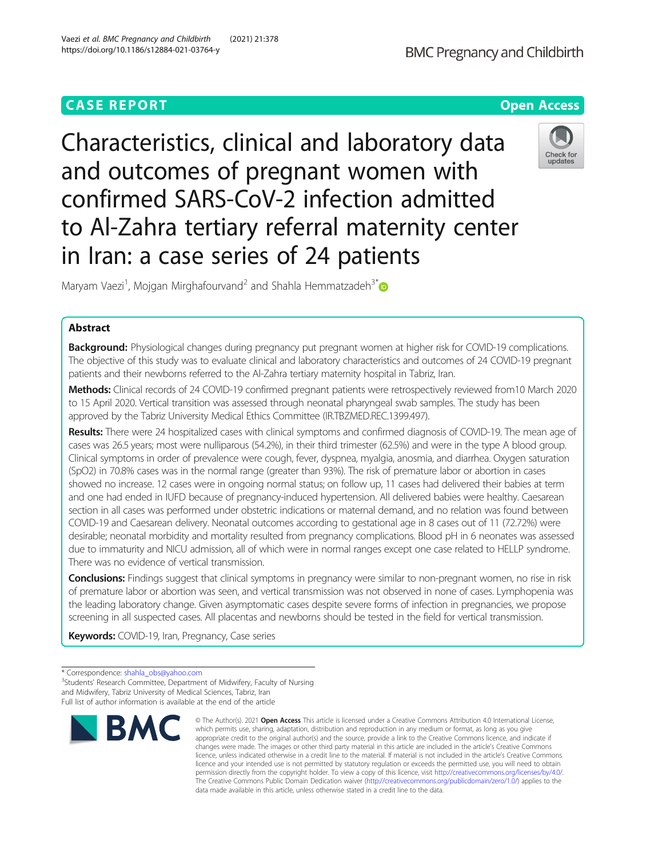# **CASE REPORT CASE ACCESS**

Characteristics, clinical and laboratory data and outcomes of pregnant women with confirmed SARS-CoV-2 infection admitted to Al-Zahra tertiary referral maternity center in Iran: a case series of 24 patients

Maryam Vaezi<sup>1</sup>, Mojgan Mirghafourvand<sup>2</sup> and Shahla Hemmatzadeh<sup>3[\\*](http://orcid.org/0000-0002-2390-8746)</sup>

# Abstract

Background: Physiological changes during pregnancy put pregnant women at higher risk for COVID-19 complications. The objective of this study was to evaluate clinical and laboratory characteristics and outcomes of 24 COVID-19 pregnant patients and their newborns referred to the Al-Zahra tertiary maternity hospital in Tabriz, Iran.

Methods: Clinical records of 24 COVID-19 confirmed pregnant patients were retrospectively reviewed from10 March 2020 to 15 April 2020. Vertical transition was assessed through neonatal pharyngeal swab samples. The study has been approved by the Tabriz University Medical Ethics Committee (IR.TBZMED.REC.1399.497).

Results: There were 24 hospitalized cases with clinical symptoms and confirmed diagnosis of COVID-19. The mean age of cases was 26.5 years; most were nulliparous (54.2%), in their third trimester (62.5%) and were in the type A blood group. Clinical symptoms in order of prevalence were cough, fever, dyspnea, myalgia, anosmia, and diarrhea. Oxygen saturation (SpO2) in 70.8% cases was in the normal range (greater than 93%). The risk of premature labor or abortion in cases showed no increase. 12 cases were in ongoing normal status; on follow up, 11 cases had delivered their babies at term and one had ended in IUFD because of pregnancy-induced hypertension. All delivered babies were healthy. Caesarean section in all cases was performed under obstetric indications or maternal demand, and no relation was found between COVID-19 and Caesarean delivery. Neonatal outcomes according to gestational age in 8 cases out of 11 (72.72%) were desirable; neonatal morbidity and mortality resulted from pregnancy complications. Blood pH in 6 neonates was assessed due to immaturity and NICU admission, all of which were in normal ranges except one case related to HELLP syndrome. There was no evidence of vertical transmission.

Conclusions: Findings suggest that clinical symptoms in pregnancy were similar to non-pregnant women, no rise in risk of premature labor or abortion was seen, and vertical transmission was not observed in none of cases. Lymphopenia was the leading laboratory change. Given asymptomatic cases despite severe forms of infection in pregnancies, we propose screening in all suspected cases. All placentas and newborns should be tested in the field for vertical transmission.

Keywords: COVID-19, Iran, Pregnancy, Case series







<sup>\*</sup> Correspondence: [shahla\\_obs@yahoo.com](mailto:shahla_obs@yahoo.com) <sup>3</sup>

<sup>&</sup>lt;sup>3</sup>Students' Research Committee, Department of Midwifery, Faculty of Nursing and Midwifery, Tabriz University of Medical Sciences, Tabriz, Iran Full list of author information is available at the end of the article

which permits use, sharing, adaptation, distribution and reproduction in any medium or format, as long as you give appropriate credit to the original author(s) and the source, provide a link to the Creative Commons licence, and indicate if changes were made. The images or other third party material in this article are included in the article's Creative Commons licence, unless indicated otherwise in a credit line to the material. If material is not included in the article's Creative Commons licence and your intended use is not permitted by statutory regulation or exceeds the permitted use, you will need to obtain permission directly from the copyright holder. To view a copy of this licence, visit [http://creativecommons.org/licenses/by/4.0/.](http://creativecommons.org/licenses/by/4.0/) The Creative Commons Public Domain Dedication waiver [\(http://creativecommons.org/publicdomain/zero/1.0/](http://creativecommons.org/publicdomain/zero/1.0/)) applies to the data made available in this article, unless otherwise stated in a credit line to the data.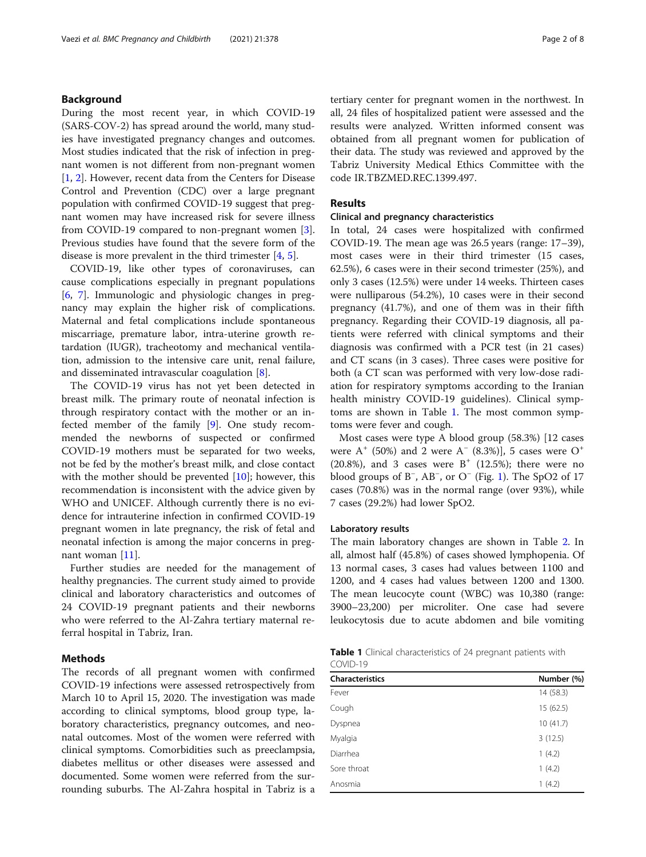# Background

During the most recent year, in which COVID-19 (SARS-COV-2) has spread around the world, many studies have investigated pregnancy changes and outcomes. Most studies indicated that the risk of infection in pregnant women is not different from non-pregnant women [[1,](#page-6-0) [2\]](#page-6-0). However, recent data from the Centers for Disease Control and Prevention (CDC) over a large pregnant population with confirmed COVID-19 suggest that pregnant women may have increased risk for severe illness from COVID-19 compared to non-pregnant women [\[3](#page-6-0)]. Previous studies have found that the severe form of the disease is more prevalent in the third trimester [\[4](#page-6-0), [5](#page-6-0)].

COVID-19, like other types of coronaviruses, can cause complications especially in pregnant populations [[6,](#page-6-0) [7\]](#page-6-0). Immunologic and physiologic changes in pregnancy may explain the higher risk of complications. Maternal and fetal complications include spontaneous miscarriage, premature labor, intra-uterine growth retardation (IUGR), tracheotomy and mechanical ventilation, admission to the intensive care unit, renal failure, and disseminated intravascular coagulation [\[8](#page-6-0)].

The COVID-19 virus has not yet been detected in breast milk. The primary route of neonatal infection is through respiratory contact with the mother or an infected member of the family [[9\]](#page-6-0). One study recommended the newborns of suspected or confirmed COVID-19 mothers must be separated for two weeks, not be fed by the mother's breast milk, and close contact with the mother should be prevented  $[10]$  $[10]$  $[10]$ ; however, this recommendation is inconsistent with the advice given by WHO and UNICEF. Although currently there is no evidence for intrauterine infection in confirmed COVID-19 pregnant women in late pregnancy, the risk of fetal and neonatal infection is among the major concerns in pregnant woman [\[11\]](#page-6-0).

Further studies are needed for the management of healthy pregnancies. The current study aimed to provide clinical and laboratory characteristics and outcomes of 24 COVID-19 pregnant patients and their newborns who were referred to the Al-Zahra tertiary maternal referral hospital in Tabriz, Iran.

# Methods

The records of all pregnant women with confirmed COVID-19 infections were assessed retrospectively from March 10 to April 15, 2020. The investigation was made according to clinical symptoms, blood group type, laboratory characteristics, pregnancy outcomes, and neonatal outcomes. Most of the women were referred with clinical symptoms. Comorbidities such as preeclampsia, diabetes mellitus or other diseases were assessed and documented. Some women were referred from the surrounding suburbs. The Al-Zahra hospital in Tabriz is a tertiary center for pregnant women in the northwest. In all, 24 files of hospitalized patient were assessed and the results were analyzed. Written informed consent was obtained from all pregnant women for publication of their data. The study was reviewed and approved by the Tabriz University Medical Ethics Committee with the code IR.TBZMED.REC.1399.497.

# Results

# Clinical and pregnancy characteristics

In total, 24 cases were hospitalized with confirmed COVID-19. The mean age was 26.5 years (range: 17–39), most cases were in their third trimester (15 cases, 62.5%), 6 cases were in their second trimester (25%), and only 3 cases (12.5%) were under 14 weeks. Thirteen cases were nulliparous (54.2%), 10 cases were in their second pregnancy (41.7%), and one of them was in their fifth pregnancy. Regarding their COVID-19 diagnosis, all patients were referred with clinical symptoms and their diagnosis was confirmed with a PCR test (in 21 cases) and CT scans (in 3 cases). Three cases were positive for both (a CT scan was performed with very low-dose radiation for respiratory symptoms according to the Iranian health ministry COVID-19 guidelines). Clinical symptoms are shown in Table 1. The most common symptoms were fever and cough.

Most cases were type A blood group (58.3%) [12 cases were  $A^+$  (50%) and 2 were  $A^-$  (8.3%)], 5 cases were  $O^+$  $(20.8\%)$ , and 3 cases were B<sup>+</sup>  $(12.5\%)$ ; there were no blood groups of B<sup>−</sup> , AB<sup>−</sup> , or O<sup>−</sup> (Fig. [1\)](#page-2-0). The SpO2 of 17 cases (70.8%) was in the normal range (over 93%), while 7 cases (29.2%) had lower SpO2.

# Laboratory results

The main laboratory changes are shown in Table [2.](#page-2-0) In all, almost half (45.8%) of cases showed lymphopenia. Of 13 normal cases, 3 cases had values between 1100 and 1200, and 4 cases had values between 1200 and 1300. The mean leucocyte count (WBC) was 10,380 (range: 3900–23,200) per microliter. One case had severe leukocytosis due to acute abdomen and bile vomiting

| <b>Table 1</b> Clinical characteristics of 24 pregnant patients with |  |  |  |
|----------------------------------------------------------------------|--|--|--|
| COVID-19                                                             |  |  |  |

| <b>Characteristics</b> | Number (%) |
|------------------------|------------|
| Fever                  | 14(58.3)   |
| Cough                  | 15(62.5)   |
| Dyspnea                | 10(41.7)   |
| Myalgia                | 3(12.5)    |
| Diarrhea               | 1(4.2)     |
| Sore throat            | 1(4.2)     |
| Anosmia                | 1(4.2)     |
|                        |            |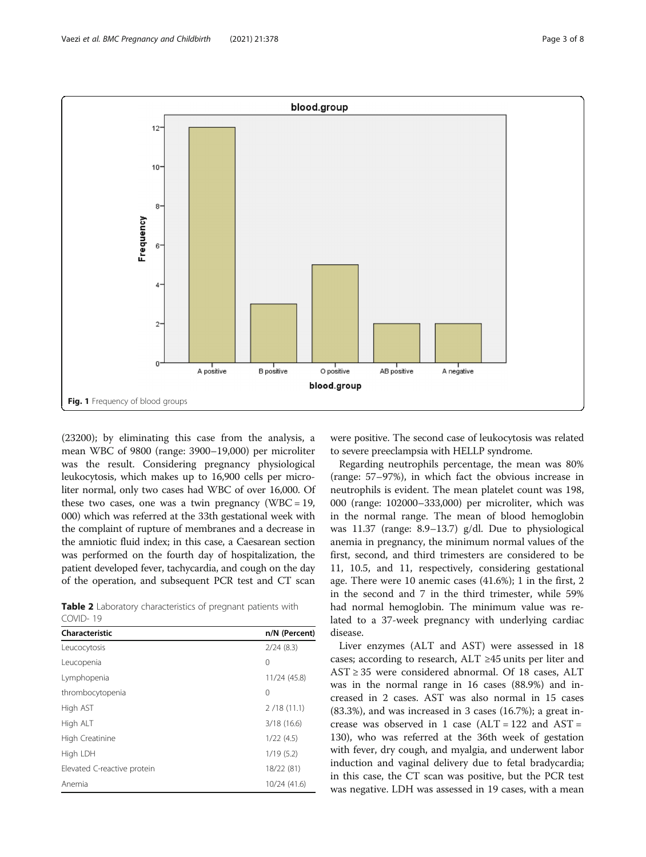<span id="page-2-0"></span>

(23200); by eliminating this case from the analysis, a mean WBC of 9800 (range: 3900–19,000) per microliter was the result. Considering pregnancy physiological leukocytosis, which makes up to 16,900 cells per microliter normal, only two cases had WBC of over 16,000. Of these two cases, one was a twin pregnancy (WBC =  $19$ , 000) which was referred at the 33th gestational week with the complaint of rupture of membranes and a decrease in the amniotic fluid index; in this case, a Caesarean section was performed on the fourth day of hospitalization, the patient developed fever, tachycardia, and cough on the day of the operation, and subsequent PCR test and CT scan

Table 2 Laboratory characteristics of pregnant patients with COVID- 19

| Characteristic              | n/N (Percent) |
|-----------------------------|---------------|
| Leucocytosis                | 2/24(8.3)     |
| Leucopenia                  | 0             |
| Lymphopenia                 | 11/24 (45.8)  |
| thrombocytopenia            | 0             |
| High AST                    | 2/18(11.1)    |
| High ALT                    | 3/18(16.6)    |
| High Creatinine             | 1/22(4.5)     |
| High LDH                    | 1/19(5.2)     |
| Elevated C-reactive protein | 18/22 (81)    |
| Anemia                      | 10/24 (41.6)  |
|                             |               |

were positive. The second case of leukocytosis was related to severe preeclampsia with HELLP syndrome.

Regarding neutrophils percentage, the mean was 80% (range: 57–97%), in which fact the obvious increase in neutrophils is evident. The mean platelet count was 198, 000 (range: 102000–333,000) per microliter, which was in the normal range. The mean of blood hemoglobin was 11.37 (range: 8.9–13.7) g/dl. Due to physiological anemia in pregnancy, the minimum normal values of the first, second, and third trimesters are considered to be 11, 10.5, and 11, respectively, considering gestational age. There were 10 anemic cases (41.6%); 1 in the first, 2 in the second and 7 in the third trimester, while 59% had normal hemoglobin. The minimum value was related to a 37-week pregnancy with underlying cardiac disease.

Liver enzymes (ALT and AST) were assessed in 18 cases; according to research, ALT ≥45 units per liter and AST ≥ 35 were considered abnormal. Of 18 cases, ALT was in the normal range in 16 cases (88.9%) and increased in 2 cases. AST was also normal in 15 cases (83.3%), and was increased in 3 cases (16.7%); a great increase was observed in 1 case  $(ALT = 122$  and  $AST =$ 130), who was referred at the 36th week of gestation with fever, dry cough, and myalgia, and underwent labor induction and vaginal delivery due to fetal bradycardia; in this case, the CT scan was positive, but the PCR test was negative. LDH was assessed in 19 cases, with a mean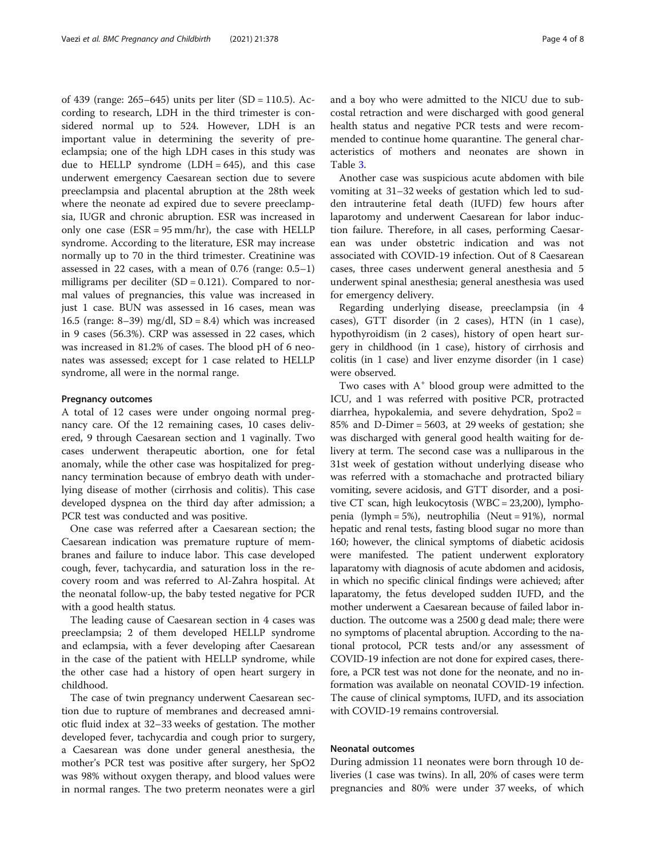of 439 (range: 265–645) units per liter (SD = 110.5). According to research, LDH in the third trimester is considered normal up to 524. However, LDH is an important value in determining the severity of preeclampsia; one of the high LDH cases in this study was due to HELLP syndrome  $(LDH = 645)$ , and this case underwent emergency Caesarean section due to severe preeclampsia and placental abruption at the 28th week where the neonate ad expired due to severe preeclampsia, IUGR and chronic abruption. ESR was increased in only one case  $(ESR = 95 \text{ mm/hr})$ , the case with HELLP syndrome. According to the literature, ESR may increase normally up to 70 in the third trimester. Creatinine was assessed in 22 cases, with a mean of  $0.76$  (range:  $0.5-1$ ) milligrams per deciliter  $(SD = 0.121)$ . Compared to normal values of pregnancies, this value was increased in just 1 case. BUN was assessed in 16 cases, mean was 16.5 (range: 8–39) mg/dl,  $SD = 8.4$ ) which was increased in 9 cases (56.3%). CRP was assessed in 22 cases, which was increased in 81.2% of cases. The blood pH of 6 neonates was assessed; except for 1 case related to HELLP syndrome, all were in the normal range.

### Pregnancy outcomes

A total of 12 cases were under ongoing normal pregnancy care. Of the 12 remaining cases, 10 cases delivered, 9 through Caesarean section and 1 vaginally. Two cases underwent therapeutic abortion, one for fetal anomaly, while the other case was hospitalized for pregnancy termination because of embryo death with underlying disease of mother (cirrhosis and colitis). This case developed dyspnea on the third day after admission; a PCR test was conducted and was positive.

One case was referred after a Caesarean section; the Caesarean indication was premature rupture of membranes and failure to induce labor. This case developed cough, fever, tachycardia, and saturation loss in the recovery room and was referred to Al-Zahra hospital. At the neonatal follow-up, the baby tested negative for PCR with a good health status.

The leading cause of Caesarean section in 4 cases was preeclampsia; 2 of them developed HELLP syndrome and eclampsia, with a fever developing after Caesarean in the case of the patient with HELLP syndrome, while the other case had a history of open heart surgery in childhood.

The case of twin pregnancy underwent Caesarean section due to rupture of membranes and decreased amniotic fluid index at 32–33 weeks of gestation. The mother developed fever, tachycardia and cough prior to surgery, a Caesarean was done under general anesthesia, the mother's PCR test was positive after surgery, her SpO2 was 98% without oxygen therapy, and blood values were in normal ranges. The two preterm neonates were a girl and a boy who were admitted to the NICU due to subcostal retraction and were discharged with good general health status and negative PCR tests and were recommended to continue home quarantine. The general characteristics of mothers and neonates are shown in Table [3.](#page-4-0)

Another case was suspicious acute abdomen with bile vomiting at 31–32 weeks of gestation which led to sudden intrauterine fetal death (IUFD) few hours after laparotomy and underwent Caesarean for labor induction failure. Therefore, in all cases, performing Caesarean was under obstetric indication and was not associated with COVID-19 infection. Out of 8 Caesarean cases, three cases underwent general anesthesia and 5 underwent spinal anesthesia; general anesthesia was used for emergency delivery.

Regarding underlying disease, preeclampsia (in 4 cases), GTT disorder (in 2 cases), HTN (in 1 case), hypothyroidism (in 2 cases), history of open heart surgery in childhood (in 1 case), history of cirrhosis and colitis (in 1 case) and liver enzyme disorder (in 1 case) were observed.

Two cases with  $A^+$  blood group were admitted to the ICU, and 1 was referred with positive PCR, protracted diarrhea, hypokalemia, and severe dehydration, Spo2 = 85% and D-Dimer = 5603, at 29 weeks of gestation; she was discharged with general good health waiting for delivery at term. The second case was a nulliparous in the 31st week of gestation without underlying disease who was referred with a stomachache and protracted biliary vomiting, severe acidosis, and GTT disorder, and a positive CT scan, high leukocytosis (WBC = 23,200), lymphopenia (lymph = 5%), neutrophilia (Neut = 91%), normal hepatic and renal tests, fasting blood sugar no more than 160; however, the clinical symptoms of diabetic acidosis were manifested. The patient underwent exploratory laparatomy with diagnosis of acute abdomen and acidosis, in which no specific clinical findings were achieved; after laparatomy, the fetus developed sudden IUFD, and the mother underwent a Caesarean because of failed labor induction. The outcome was a 2500 g dead male; there were no symptoms of placental abruption. According to the national protocol, PCR tests and/or any assessment of COVID-19 infection are not done for expired cases, therefore, a PCR test was not done for the neonate, and no information was available on neonatal COVID-19 infection. The cause of clinical symptoms, IUFD, and its association with COVID-19 remains controversial.

# Neonatal outcomes

During admission 11 neonates were born through 10 deliveries (1 case was twins). In all, 20% of cases were term pregnancies and 80% were under 37 weeks, of which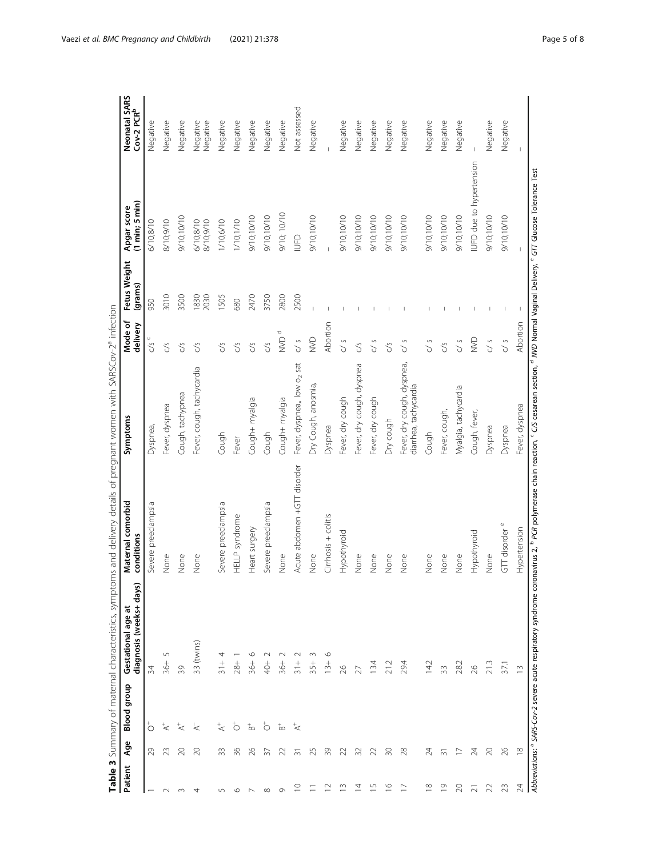<span id="page-4-0"></span>

| Patient                  | Age            | <b>Blood</b> group        | diagnosis (weeks+ days)<br>Gestational age at | Maternal comorbid<br>conditions                                                                                                                                                                                                                         | Symptoms                                            | Mode of<br>delivery  | Fetus Weight<br>(grams) | $(1 \text{ min}; 5 \text{ min})$<br>Apgar score   | Neonatal SARS<br>Cov-2 PCR <sup>b</sup> |
|--------------------------|----------------|---------------------------|-----------------------------------------------|---------------------------------------------------------------------------------------------------------------------------------------------------------------------------------------------------------------------------------------------------------|-----------------------------------------------------|----------------------|-------------------------|---------------------------------------------------|-----------------------------------------|
|                          | 29             | $\circ$                   | 34                                            | Severe preeclampsia                                                                                                                                                                                                                                     | Dyspnea,                                            | CS                   | 950                     | 6/10;8/10                                         | Negative                                |
| $\sim$                   | 23             | $\overline{\mathbf{A}}^+$ | 5<br>$-36+$                                   | None                                                                                                                                                                                                                                                    | Fever, dyspnea                                      | $\mathcal{C}$        | 3010                    | 01/6/01/8                                         | Negative                                |
| $\infty$                 | 20             | $\overline{\preccurlyeq}$ | 39                                            | None                                                                                                                                                                                                                                                    | Cough, tachypnea                                    | c/s                  | 3500                    | 9/10;10/10                                        | Negative                                |
| 4                        | 20             | $\overline{\mathbf{z}}$   | 33 (twins)                                    | None                                                                                                                                                                                                                                                    | Fever, cough, tachycardia                           | S                    | 1830<br>2030            | 6/10;8/10<br>8/10;9/10                            | Negative<br>Negative                    |
| LO                       | 33             | $\overline{\mathbf{z}}^+$ | 4<br>$\frac{1}{2}$                            | Severe preeclampsia                                                                                                                                                                                                                                     | Cough                                               | c/s                  | 1505                    | 1/10;6/10                                         | Negative                                |
| ৩                        | 36             | $\circ$                   | $28 +$                                        | HELLP syndrome                                                                                                                                                                                                                                          | Fever                                               | S,                   | 680                     | 1/10;1/10                                         | Negative                                |
|                          | 26             | $_{\infty}^{+}$           | $-36 +$                                       | Heart surgery                                                                                                                                                                                                                                           | Cough+ myalgia                                      | S,                   | 2470                    | 9/10;10/10                                        | Negative                                |
| $\infty$                 | 37             | $\circ$                   | $rac{+}{40}$                                  | Severe preeclampsia                                                                                                                                                                                                                                     | Cough                                               | c/s                  | 3750                    | 9/10;10/10                                        | Negative                                |
| $\sigma$                 | 22             | $_{\rm m}^+$              | $-36 +$                                       | None                                                                                                                                                                                                                                                    | Cough+ myalgia                                      | Ō<br>NN <sub>D</sub> | 2800                    | 9/10; 10/10                                       | Negative                                |
| ₽                        | ᆕ              | $\overline{\mathbf{z}}$   | $\frac{1}{20}$                                | Acute abdomen +GTT disorder                                                                                                                                                                                                                             | Fever, dyspnea,, low o <sub>2</sub> sat             | C/5                  | 2500                    | $\begin{array}{c} \square \\ \square \end{array}$ | Not assessed                            |
|                          | 25             |                           | 3<br>$35 +$                                   | None                                                                                                                                                                                                                                                    | Dry Cough, anosmia,                                 | $\geq$               |                         | 9/10;10/10                                        | Negative                                |
|                          | 39             |                           | O<br>$13+$                                    | Cirrhosis + colitis                                                                                                                                                                                                                                     | Dyspnea                                             | Abortion             |                         |                                                   |                                         |
| ≘                        | 22             |                           | 26                                            | Hypothyroid                                                                                                                                                                                                                                             | Fever, dry cough                                    | C/5                  |                         | 9/10/10/10                                        | Negative                                |
| Ξ                        | 32             |                           |                                               | None                                                                                                                                                                                                                                                    | Fever, dry cough, dyspnea                           | S                    |                         | 9/10;10/10                                        | Negative                                |
| $\overline{\phantom{0}}$ | 22             |                           | 13.4                                          | None                                                                                                                                                                                                                                                    | Fever, dry cough                                    | c/s                  |                         | 9/10;10/10                                        | Negative                                |
| $\frac{6}{1}$            | $\approx$      |                           |                                               | None                                                                                                                                                                                                                                                    | Dry cough                                           | C/S                  |                         | 9/10;10/10                                        | Negative                                |
| $\overline{C}$           | 28             |                           | 29.4                                          | None                                                                                                                                                                                                                                                    | Fever, dry cough, dyspnea,<br>diarrhea, tachycardia | $\frac{5}{2}$        |                         | 9/10/10/10                                        | Negative                                |
| $\infty$                 | 24             |                           | 14.2                                          | None                                                                                                                                                                                                                                                    | Cough                                               | C/5                  |                         | 9/10/10/10                                        | Negative                                |
| $\overline{0}$           | ᆕ              |                           | 33                                            | None                                                                                                                                                                                                                                                    | Fever, cough,                                       | $\mathcal{S}$        |                         | 9/10/10/10                                        | Negative                                |
| $\approx$                |                |                           | 28.2                                          | None                                                                                                                                                                                                                                                    | Myalgia, tachycardia                                | C/5                  |                         | 01/01:01/19                                       | Negative                                |
| ಸ                        | 24             |                           | 26                                            | Hypothyroid                                                                                                                                                                                                                                             | Cough, fever,                                       | <b>S</b>             |                         | IUFD due to hypertension                          |                                         |
| 22                       | 20             |                           | 21.3                                          | None                                                                                                                                                                                                                                                    | Dyspnea                                             | $\frac{5}{2}$        |                         | 9/10;10/10                                        | Negative                                |
| 23                       | 26             |                           | 37.1                                          | GTT disorder <sup>e</sup>                                                                                                                                                                                                                               | Dyspnea                                             | $\frac{5}{2}$        |                         | 9/10;10/10                                        | Negative                                |
| $\overline{24}$          | $\frac{8}{10}$ |                           | $\frac{1}{2}$                                 | Hypertension                                                                                                                                                                                                                                            | Fever, dyspnea                                      | Abortion             |                         |                                                   |                                         |
|                          |                |                           |                                               | Abbreviations: <sup>a</sup> SARS-Cov-2 severe acute respiratory syndrome coronavirus 2. <sup>b</sup> PCR polymerase chain reaction, <sup>c</sup> CS cesarean section, <sup>4</sup> NVD Normal Vaginal Delivery, <sup>6</sup> GTT Glucose Tolerance Test |                                                     |                      |                         |                                                   |                                         |

Table 3 Summary of maternal characteristics, symptoms and delivery details of pregnant women with SARSC ov-2<sup>a</sup> infection Table 3 Summary of maternal characteristics, symptoms and delivery details of pregnant women with SARSCov-2<sup>a</sup> infection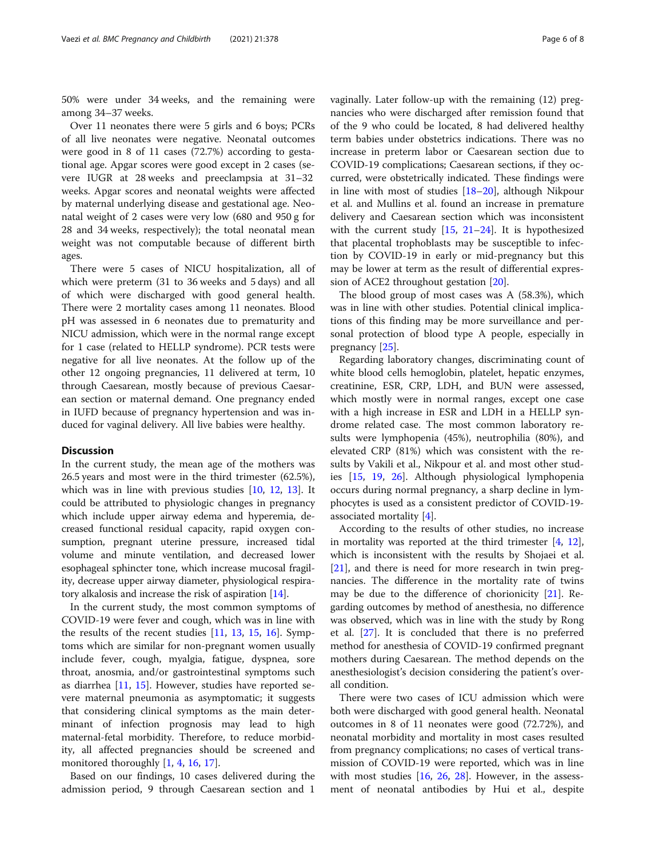50% were under 34 weeks, and the remaining were among 34–37 weeks.

Over 11 neonates there were 5 girls and 6 boys; PCRs of all live neonates were negative. Neonatal outcomes were good in 8 of 11 cases (72.7%) according to gestational age. Apgar scores were good except in 2 cases (severe IUGR at 28 weeks and preeclampsia at 31–32 weeks. Apgar scores and neonatal weights were affected by maternal underlying disease and gestational age. Neonatal weight of 2 cases were very low (680 and 950 g for 28 and 34 weeks, respectively); the total neonatal mean weight was not computable because of different birth ages.

There were 5 cases of NICU hospitalization, all of which were preterm (31 to 36 weeks and 5 days) and all of which were discharged with good general health. There were 2 mortality cases among 11 neonates. Blood pH was assessed in 6 neonates due to prematurity and NICU admission, which were in the normal range except for 1 case (related to HELLP syndrome). PCR tests were negative for all live neonates. At the follow up of the other 12 ongoing pregnancies, 11 delivered at term, 10 through Caesarean, mostly because of previous Caesarean section or maternal demand. One pregnancy ended in IUFD because of pregnancy hypertension and was induced for vaginal delivery. All live babies were healthy.

### **Discussion**

In the current study, the mean age of the mothers was 26.5 years and most were in the third trimester (62.5%), which was in line with previous studies [\[10](#page-6-0), [12](#page-7-0), [13\]](#page-7-0). It could be attributed to physiologic changes in pregnancy which include upper airway edema and hyperemia, decreased functional residual capacity, rapid oxygen consumption, pregnant uterine pressure, increased tidal volume and minute ventilation, and decreased lower esophageal sphincter tone, which increase mucosal fragility, decrease upper airway diameter, physiological respiratory alkalosis and increase the risk of aspiration [[14](#page-7-0)].

In the current study, the most common symptoms of COVID-19 were fever and cough, which was in line with the results of the recent studies  $[11, 13, 15, 16]$  $[11, 13, 15, 16]$  $[11, 13, 15, 16]$  $[11, 13, 15, 16]$  $[11, 13, 15, 16]$  $[11, 13, 15, 16]$  $[11, 13, 15, 16]$ . Symptoms which are similar for non-pregnant women usually include fever, cough, myalgia, fatigue, dyspnea, sore throat, anosmia, and/or gastrointestinal symptoms such as diarrhea [\[11,](#page-6-0) [15\]](#page-7-0). However, studies have reported severe maternal pneumonia as asymptomatic; it suggests that considering clinical symptoms as the main determinant of infection prognosis may lead to high maternal-fetal morbidity. Therefore, to reduce morbidity, all affected pregnancies should be screened and monitored thoroughly [\[1](#page-6-0), [4](#page-6-0), [16](#page-7-0), [17\]](#page-7-0).

Based on our findings, 10 cases delivered during the admission period, 9 through Caesarean section and 1

vaginally. Later follow-up with the remaining (12) pregnancies who were discharged after remission found that of the 9 who could be located, 8 had delivered healthy term babies under obstetrics indications. There was no increase in preterm labor or Caesarean section due to COVID-19 complications; Caesarean sections, if they occurred, were obstetrically indicated. These findings were in line with most of studies [\[18](#page-7-0)–[20](#page-7-0)], although Nikpour et al. and Mullins et al. found an increase in premature delivery and Caesarean section which was inconsistent with the current study  $[15, 21-24]$  $[15, 21-24]$  $[15, 21-24]$  $[15, 21-24]$  $[15, 21-24]$ . It is hypothesized that placental trophoblasts may be susceptible to infection by COVID-19 in early or mid-pregnancy but this may be lower at term as the result of differential expression of ACE2 throughout gestation [\[20](#page-7-0)].

The blood group of most cases was A (58.3%), which was in line with other studies. Potential clinical implications of this finding may be more surveillance and personal protection of blood type A people, especially in pregnancy [[25\]](#page-7-0).

Regarding laboratory changes, discriminating count of white blood cells hemoglobin, platelet, hepatic enzymes, creatinine, ESR, CRP, LDH, and BUN were assessed, which mostly were in normal ranges, except one case with a high increase in ESR and LDH in a HELLP syndrome related case. The most common laboratory results were lymphopenia (45%), neutrophilia (80%), and elevated CRP (81%) which was consistent with the results by Vakili et al., Nikpour et al. and most other studies [[15,](#page-7-0) [19,](#page-7-0) [26\]](#page-7-0). Although physiological lymphopenia occurs during normal pregnancy, a sharp decline in lymphocytes is used as a consistent predictor of COVID-19 associated mortality [\[4](#page-6-0)].

According to the results of other studies, no increase in mortality was reported at the third trimester  $[4, 12]$  $[4, 12]$  $[4, 12]$  $[4, 12]$ , which is inconsistent with the results by Shojaei et al. [[21\]](#page-7-0), and there is need for more research in twin pregnancies. The difference in the mortality rate of twins may be due to the difference of chorionicity [[21\]](#page-7-0). Regarding outcomes by method of anesthesia, no difference was observed, which was in line with the study by Rong et al. [\[27\]](#page-7-0). It is concluded that there is no preferred method for anesthesia of COVID-19 confirmed pregnant mothers during Caesarean. The method depends on the anesthesiologist's decision considering the patient's overall condition.

There were two cases of ICU admission which were both were discharged with good general health. Neonatal outcomes in 8 of 11 neonates were good (72.72%), and neonatal morbidity and mortality in most cases resulted from pregnancy complications; no cases of vertical transmission of COVID-19 were reported, which was in line with most studies  $[16, 26, 28]$  $[16, 26, 28]$  $[16, 26, 28]$  $[16, 26, 28]$  $[16, 26, 28]$  $[16, 26, 28]$  $[16, 26, 28]$ . However, in the assessment of neonatal antibodies by Hui et al., despite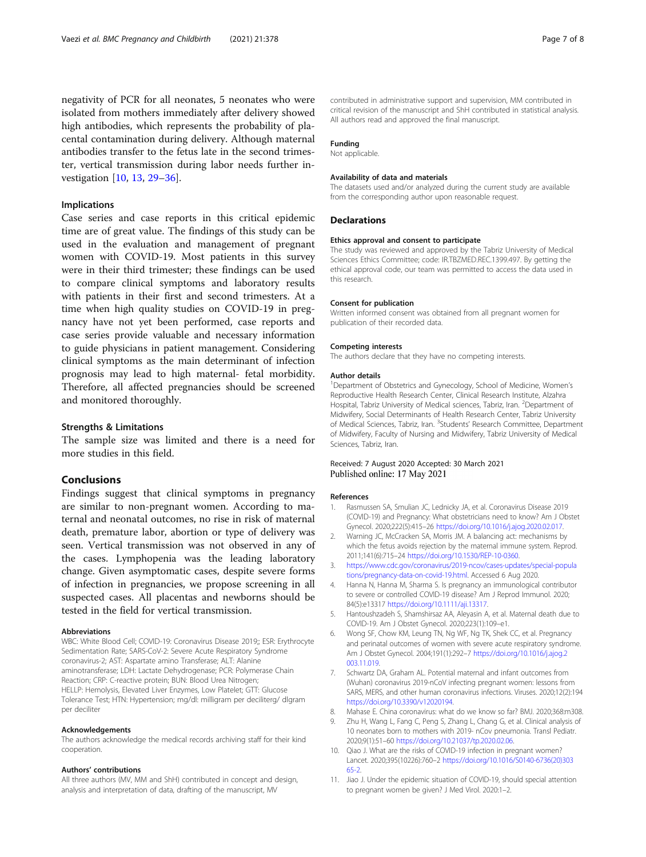<span id="page-6-0"></span>negativity of PCR for all neonates, 5 neonates who were isolated from mothers immediately after delivery showed high antibodies, which represents the probability of placental contamination during delivery. Although maternal antibodies transfer to the fetus late in the second trimester, vertical transmission during labor needs further investigation [10, [13](#page-7-0), [29](#page-7-0)–[36\]](#page-7-0).

# Implications

Case series and case reports in this critical epidemic time are of great value. The findings of this study can be used in the evaluation and management of pregnant women with COVID-19. Most patients in this survey were in their third trimester; these findings can be used to compare clinical symptoms and laboratory results with patients in their first and second trimesters. At a time when high quality studies on COVID-19 in pregnancy have not yet been performed, case reports and case series provide valuable and necessary information to guide physicians in patient management. Considering clinical symptoms as the main determinant of infection prognosis may lead to high maternal- fetal morbidity. Therefore, all affected pregnancies should be screened and monitored thoroughly.

### Strengths & Limitations

The sample size was limited and there is a need for more studies in this field.

# Conclusions

Findings suggest that clinical symptoms in pregnancy are similar to non-pregnant women. According to maternal and neonatal outcomes, no rise in risk of maternal death, premature labor, abortion or type of delivery was seen. Vertical transmission was not observed in any of the cases. Lymphopenia was the leading laboratory change. Given asymptomatic cases, despite severe forms of infection in pregnancies, we propose screening in all suspected cases. All placentas and newborns should be tested in the field for vertical transmission.

# Abbreviations

WBC: White Blood Cell; COVID-19: Coronavirus Disease 2019;; ESR: Erythrocyte Sedimentation Rate; SARS-CoV-2: Severe Acute Respiratory Syndrome coronavirus-2; AST: Aspartate amino Transferase; ALT: Alanine aminotransferase; LDH: Lactate Dehydrogenase; PCR: Polymerase Chain Reaction; CRP: C-reactive protein; BUN: Blood Urea Nitrogen; HELLP: Hemolysis, Elevated Liver Enzymes, Low Platelet; GTT: Glucose Tolerance Test; HTN: Hypertension; mg/dl: milligram per deciliterg/ dlgram per deciliter

### Acknowledgements

The authors acknowledge the medical records archiving staff for their kind cooperation.

#### Authors' contributions

All three authors (MV, MM and ShH) contributed in concept and design, analysis and interpretation of data, drafting of the manuscript, MV

contributed in administrative support and supervision, MM contributed in critical revision of the manuscript and ShH contributed in statistical analysis. All authors read and approved the final manuscript.

### Funding

Not applicable.

#### Availability of data and materials

The datasets used and/or analyzed during the current study are available from the corresponding author upon reasonable request.

### Declarations

#### Ethics approval and consent to participate

The study was reviewed and approved by the Tabriz University of Medical Sciences Ethics Committee; code: IR.TBZMED.REC.1399.497. By getting the ethical approval code, our team was permitted to access the data used in this research.

### Consent for publication

Written informed consent was obtained from all pregnant women for publication of their recorded data.

#### Competing interests

The authors declare that they have no competing interests.

#### Author details

<sup>1</sup>Department of Obstetrics and Gynecology, School of Medicine, Women's Reproductive Health Research Center, Clinical Research Institute, Alzahra Hospital, Tabriz University of Medical sciences, Tabriz, Iran. <sup>2</sup>Department of Midwifery, Social Determinants of Health Research Center, Tabriz University of Medical Sciences, Tabriz, Iran. <sup>3</sup>Students' Research Committee, Department of Midwifery, Faculty of Nursing and Midwifery, Tabriz University of Medical Sciences, Tabriz, Iran.

# Received: 7 August 2020 Accepted: 30 March 2021 Published online: 17 May 2021

#### References

- 1. Rasmussen SA, Smulian JC, Lednicky JA, et al. Coronavirus Disease 2019 (COVID-19) and Pregnancy: What obstetricians need to know? Am J Obstet Gynecol. 2020;222(5):415–26 [https://doi.org/10.1016/j.ajog.2020.02.017.](https://doi.org/10.1016/j.ajog.2020.02.017)
- 2. Warning JC, McCracken SA, Morris JM. A balancing act: mechanisms by which the fetus avoids rejection by the maternal immune system. Reprod. 2011;141(6):715–24 <https://doi.org/10.1530/REP-10-0360>.
- 3. [https://www.cdc.gov/coronavirus/2019-ncov/cases-updates/special-popula](https://www.cdc.gov/coronavirus/2019-ncov/cases-updates/special-populations/pregnancy-data-on-covid-19.html) [tions/pregnancy-data-on-covid-19.html](https://www.cdc.gov/coronavirus/2019-ncov/cases-updates/special-populations/pregnancy-data-on-covid-19.html). Accessed 6 Aug 2020.
- 4. Hanna N, Hanna M, Sharma S. Is pregnancy an immunological contributor to severe or controlled COVID-19 disease? Am J Reprod Immunol. 2020; 84(5):e13317 <https://doi.org/10.1111/aji.13317>.
- 5. Hantoushzadeh S, Shamshirsaz AA, Aleyasin A, et al. Maternal death due to COVID-19. Am J Obstet Gynecol. 2020;223(1):109–e1.
- 6. Wong SF, Chow KM, Leung TN, Ng WF, Ng TK, Shek CC, et al. Pregnancy and perinatal outcomes of women with severe acute respiratory syndrome. Am J Obstet Gynecol. 2004;191(1):292–7 [https://doi.org/10.1016/j.ajog.2](https://doi.org/10.1016/j.ajog.2003.11.019) [003.11.019](https://doi.org/10.1016/j.ajog.2003.11.019).
- 7. Schwartz DA, Graham AL. Potential maternal and infant outcomes from (Wuhan) coronavirus 2019-nCoV infecting pregnant women: lessons from SARS, MERS, and other human coronavirus infections. Viruses. 2020;12(2):194 <https://doi.org/10.3390/v12020194>.
- 8. Mahase E. China coronavirus: what do we know so far? BMJ. 2020;368:m308.
- 9. Zhu H, Wang L, Fang C, Peng S, Zhang L, Chang G, et al. Clinical analysis of 10 neonates born to mothers with 2019- nCov pneumonia. Transl Pediatr. 2020;9(1):51–60 <https://doi.org/10.21037/tp.2020.02.06>.
- 10. Qiao J. What are the risks of COVID-19 infection in pregnant women? Lancet. 2020;395(10226):760–2 [https://doi.org/10.1016/S0140-6736\(20\)303](https://doi.org/10.1016/S0140-6736(20)30365-2) [65-2](https://doi.org/10.1016/S0140-6736(20)30365-2).
- 11. Jiao J. Under the epidemic situation of COVID-19, should special attention to pregnant women be given? J Med Virol. 2020:1–2.